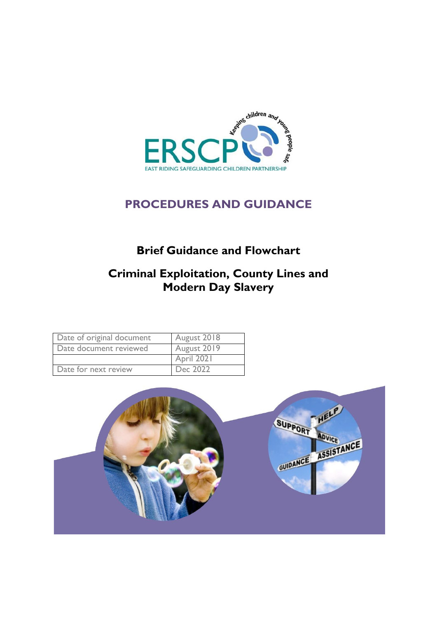

# **PROCEDURES AND GUIDANCE**

# **Brief Guidance and Flowchart**

# **Criminal Exploitation, County Lines and Modern Day Slavery**

| Date of original document | August 2018 |
|---------------------------|-------------|
| Date document reviewed    | August 2019 |
|                           | April 2021  |
| Date for next review      | Dec 2022    |

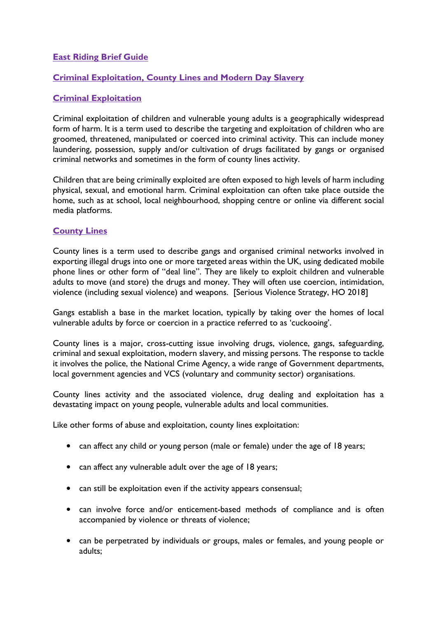## **East Riding Brief Guide**

## **Criminal Exploitation, County Lines and Modern Day Slavery**

# **Criminal Exploitation**

Criminal exploitation of children and vulnerable young adults is a geographically widespread form of harm. It is a term used to describe the targeting and exploitation of children who are groomed, threatened, manipulated or coerced into criminal activity. This can include money laundering, possession, supply and/or cultivation of drugs facilitated by gangs or organised criminal networks and sometimes in the form of county lines activity.

Children that are being criminally exploited are often exposed to high levels of harm including physical, sexual, and emotional harm. Criminal exploitation can often take place outside the home, such as at school, local neighbourhood, shopping centre or online via different social media platforms.

## **County Lines**

County lines is a term used to describe gangs and organised criminal networks involved in exporting illegal drugs into one or more targeted areas within the UK, using dedicated mobile phone lines or other form of "deal line". They are likely to exploit children and vulnerable adults to move (and store) the drugs and money. They will often use coercion, intimidation, violence (including sexual violence) and weapons. [Serious Violence Strategy, HO 2018]

Gangs establish a base in the market location, typically by taking over the homes of local vulnerable adults by force or coercion in a practice referred to as 'cuckooing'.

County lines is a major, cross-cutting issue involving drugs, violence, gangs, safeguarding, criminal and sexual exploitation, modern slavery, and missing persons. The response to tackle it involves the police, the National Crime Agency, a wide range of Government departments, local government agencies and VCS (voluntary and community sector) organisations.

County lines activity and the associated violence, drug dealing and exploitation has a devastating impact on young people, vulnerable adults and local communities.

Like other forms of abuse and exploitation, county lines exploitation:

- can affect any child or young person (male or female) under the age of 18 years;
- can affect any vulnerable adult over the age of 18 years;
- can still be exploitation even if the activity appears consensual;
- can involve force and/or enticement-based methods of compliance and is often accompanied by violence or threats of violence;
- can be perpetrated by individuals or groups, males or females, and young people or adults;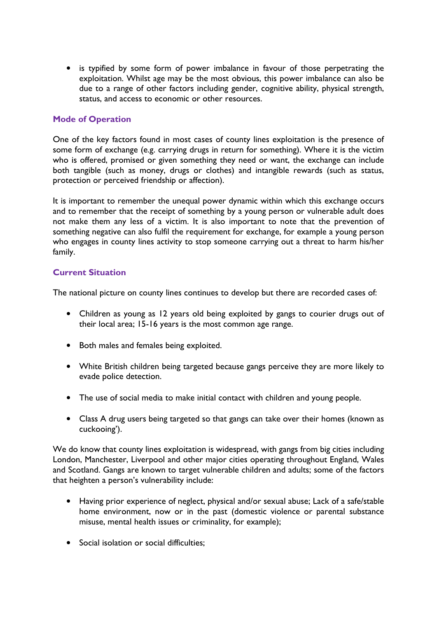• is typified by some form of power imbalance in favour of those perpetrating the exploitation. Whilst age may be the most obvious, this power imbalance can also be due to a range of other factors including gender, cognitive ability, physical strength, status, and access to economic or other resources.

## **Mode of Operation**

One of the key factors found in most cases of county lines exploitation is the presence of some form of exchange (e.g. carrying drugs in return for something). Where it is the victim who is offered, promised or given something they need or want, the exchange can include both tangible (such as money, drugs or clothes) and intangible rewards (such as status, protection or perceived friendship or affection).

It is important to remember the unequal power dynamic within which this exchange occurs and to remember that the receipt of something by a young person or vulnerable adult does not make them any less of a victim. It is also important to note that the prevention of something negative can also fulfil the requirement for exchange, for example a young person who engages in county lines activity to stop someone carrying out a threat to harm his/her family.

## **Current Situation**

The national picture on county lines continues to develop but there are recorded cases of:

- Children as young as 12 years old being exploited by gangs to courier drugs out of their local area; 15-16 years is the most common age range.
- Both males and females being exploited.
- White British children being targeted because gangs perceive they are more likely to evade police detection.
- The use of social media to make initial contact with children and young people.
- Class A drug users being targeted so that gangs can take over their homes (known as cuckooing').

We do know that county lines exploitation is widespread, with gangs from big cities including London, Manchester, Liverpool and other major cities operating throughout England, Wales and Scotland. Gangs are known to target vulnerable children and adults; some of the factors that heighten a person's vulnerability include:

- Having prior experience of neglect, physical and/or sexual abuse; Lack of a safe/stable home environment, now or in the past (domestic violence or parental substance misuse, mental health issues or criminality, for example);
- Social isolation or social difficulties: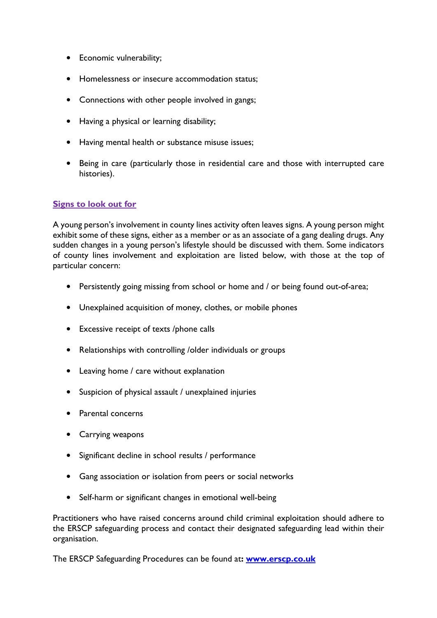- Economic vulnerability;
- Homelessness or insecure accommodation status;
- Connections with other people involved in gangs;
- Having a physical or learning disability;
- Having mental health or substance misuse issues;
- Being in care (particularly those in residential care and those with interrupted care histories).

# **Signs to look out for**

A young person's involvement in county lines activity often leaves signs. A young person might exhibit some of these signs, either as a member or as an associate of a gang dealing drugs. Any sudden changes in a young person's lifestyle should be discussed with them. Some indicators of county lines involvement and exploitation are listed below, with those at the top of particular concern:

- Persistently going missing from school or home and / or being found out-of-area;
- Unexplained acquisition of money, clothes, or mobile phones
- Excessive receipt of texts /phone calls
- Relationships with controlling /older individuals or groups
- Leaving home / care without explanation
- Suspicion of physical assault / unexplained injuries
- Parental concerns
- Carrying weapons
- Significant decline in school results / performance
- Gang association or isolation from peers or social networks
- Self-harm or significant changes in emotional well-being

Practitioners who have raised concerns around child criminal exploitation should adhere to the ERSCP safeguarding process and contact their designated safeguarding lead within their organisation.

The ERSCP Safeguarding Procedures can be found at**: [www.erscp.co.uk](http://www.erscp.co.uk/)**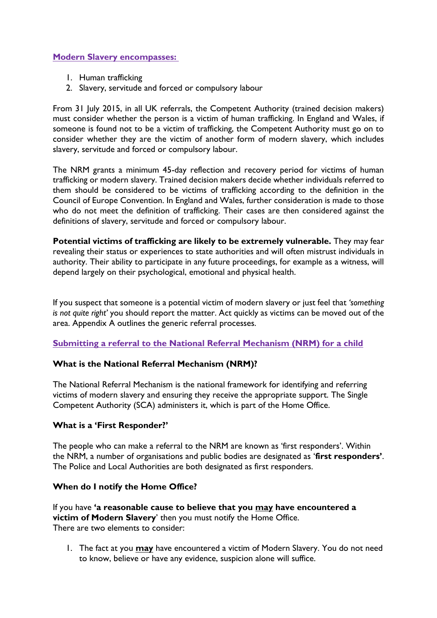## **Modern Slavery encompasses:**

- 1. Human trafficking
- 2. Slavery, servitude and forced or compulsory labour

From 31 July 2015, in all UK referrals, the Competent Authority (trained decision makers) must consider whether the person is a victim of human trafficking. In England and Wales, if someone is found not to be a victim of trafficking, the Competent Authority must go on to consider whether they are the victim of another form of modern slavery, which includes slavery, servitude and forced or compulsory labour.

The NRM grants a minimum 45-day reflection and recovery period for victims of human trafficking or modern slavery. Trained decision makers decide whether individuals referred to them should be considered to be victims of trafficking according to the definition in the Council of Europe Convention. In England and Wales, further consideration is made to those who do not meet the definition of trafficking. Their cases are then considered against the definitions of slavery, servitude and forced or compulsory labour.

**Potential victims of trafficking are likely to be extremely vulnerable.** They may fear revealing their status or experiences to state authorities and will often mistrust individuals in authority. Their ability to participate in any future proceedings, for example as a witness, will depend largely on their psychological, emotional and physical health.

If you suspect that someone is a potential victim of modern slavery or just feel that *'something is not quite right'* you should report the matter. Act quickly as victims can be moved out of the area. Appendix A outlines the generic referral processes.

## **Submitting a referral to the National Referral Mechanism (NRM) for a child**

## **What is the National Referral Mechanism (NRM)?**

The National Referral Mechanism is the national framework for identifying and referring victims of modern slavery and ensuring they receive the appropriate support. The Single Competent Authority (SCA) administers it, which is part of the Home Office.

#### **What is a 'First Responder?'**

The people who can make a referral to the NRM are known as 'first responders'. Within the NRM, a number of organisations and public bodies are designated as '**first responders'**. The Police and Local Authorities are both designated as first responders.

#### **When do I notify the Home Office?**

If you have **'a reasonable cause to believe that you may have encountered a victim of Modern Slavery**' then you must notify the Home Office. There are two elements to consider:

1. The fact at you **may** have encountered a victim of Modern Slavery. You do not need to know, believe or have any evidence, suspicion alone will suffice.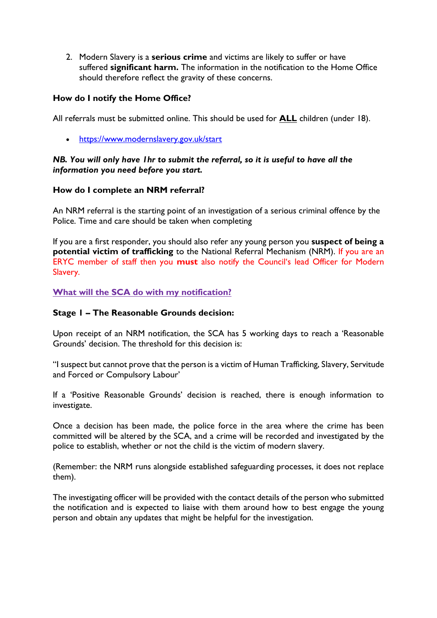2. Modern Slavery is a **serious crime** and victims are likely to suffer or have suffered **significant harm.** The information in the notification to the Home Office should therefore reflect the gravity of these concerns.

## **How do I notify the Home Office?**

All referrals must be submitted online. This should be used for **ALL** children (under 18).

[https://www.modernslavery.gov.uk/start](https://eur01.safelinks.protection.outlook.com/?url=https%3A%2F%2Fwww.modernslavery.gov.uk%2Fstart&data=04%7C01%7Cmargaret.wood%40eastriding.gov.uk%7Ca85fd1dbbfe84574a16508d90b027f66%7C351368d19b5a4c8bac76f39b4c7dd76c%7C1%7C0%7C637552927610397947%7CUnknown%7CTWFpbGZsb3d8eyJWIjoiMC4wLjAwMDAiLCJQIjoiV2luMzIiLCJBTiI6Ik1haWwiLCJXVCI6Mn0%3D%7C1000&sdata=fySZEm74dqUiB0OO7Weij5MOr5yGY%2Bdg8HJQ4V1hMx4%3D&reserved=0)

## *NB. You will only have 1hr to submit the referral, so it is useful to have all the information you need before you start.*

## **How do I complete an NRM referral?**

An NRM referral is the starting point of an investigation of a serious criminal offence by the Police. Time and care should be taken when completing

If you are a first responder, you should also refer any young person you **suspect of being a potential victim of trafficking** to the National Referral Mechanism (NRM). If you are an ERYC member of staff then you **must** also notify the Council's lead Officer for Modern Slavery.

**What will the SCA do with my notification?**

## **Stage 1 – The Reasonable Grounds decision:**

Upon receipt of an NRM notification, the SCA has 5 working days to reach a 'Reasonable Grounds' decision. The threshold for this decision is:

"I suspect but cannot prove that the person is a victim of Human Trafficking, Slavery, Servitude and Forced or Compulsory Labour'

If a 'Positive Reasonable Grounds' decision is reached, there is enough information to investigate.

Once a decision has been made, the police force in the area where the crime has been committed will be altered by the SCA, and a crime will be recorded and investigated by the police to establish, whether or not the child is the victim of modern slavery.

(Remember: the NRM runs alongside established safeguarding processes, it does not replace them).

The investigating officer will be provided with the contact details of the person who submitted the notification and is expected to liaise with them around how to best engage the young person and obtain any updates that might be helpful for the investigation.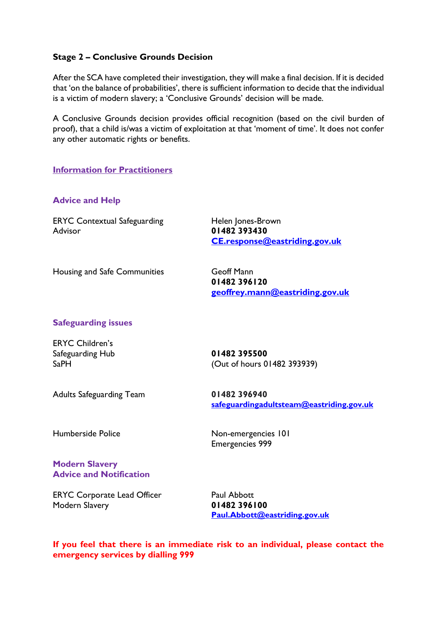## **Stage 2 – Conclusive Grounds Decision**

After the SCA have completed their investigation, they will make a final decision. If it is decided that 'on the balance of probabilities', there is sufficient information to decide that the individual is a victim of modern slavery; a 'Conclusive Grounds' decision will be made.

A Conclusive Grounds decision provides official recognition (based on the civil burden of proof), that a child is/was a victim of exploitation at that 'moment of time'. It does not confer any other automatic rights or benefits.

### **Information for Practitioners**

### **Advice and Help**

ERYC Contextual Safeguarding Helen Jones-Brown Advisor **01482 393430**

**[CE.response@eastriding.gov.uk](mailto:CE.response@eastriding.gov.uk)**

Housing and Safe Communities **Geoff Mann** 

**01482 396120 [geoffrey.mann@eastriding.gov.uk](mailto:geoffrey.mann@eastriding.gov.uk)**

## **Safeguarding issues**

ERYC Children's Safeguarding Hub **01482 395500**

SaPH [\(Out](mailto:childrens.socialcare@eastriding.gcsx.gov.uk) of hours 01482 393939)

Adults Safeguarding Team **01482 396940**

**[safeguardingadultsteam@eastriding.gov.uk](mailto:safeguardingadultsteam@eastriding.gov.ukk)**

Humberside Police Non-emergencies 101

Emergencies 999

#### **Modern Slavery Advice and Notification**

ERYC Corporate Lead Officer Paul Abbott Modern Slavery **01482 396100**

**[Paul.Abbott@eastriding.gov.uk](mailto:Paul.Abbott@eastriding.gov.uk)**

**If you feel that there is an immediate risk to an individual, please contact the emergency services by dialling 999**